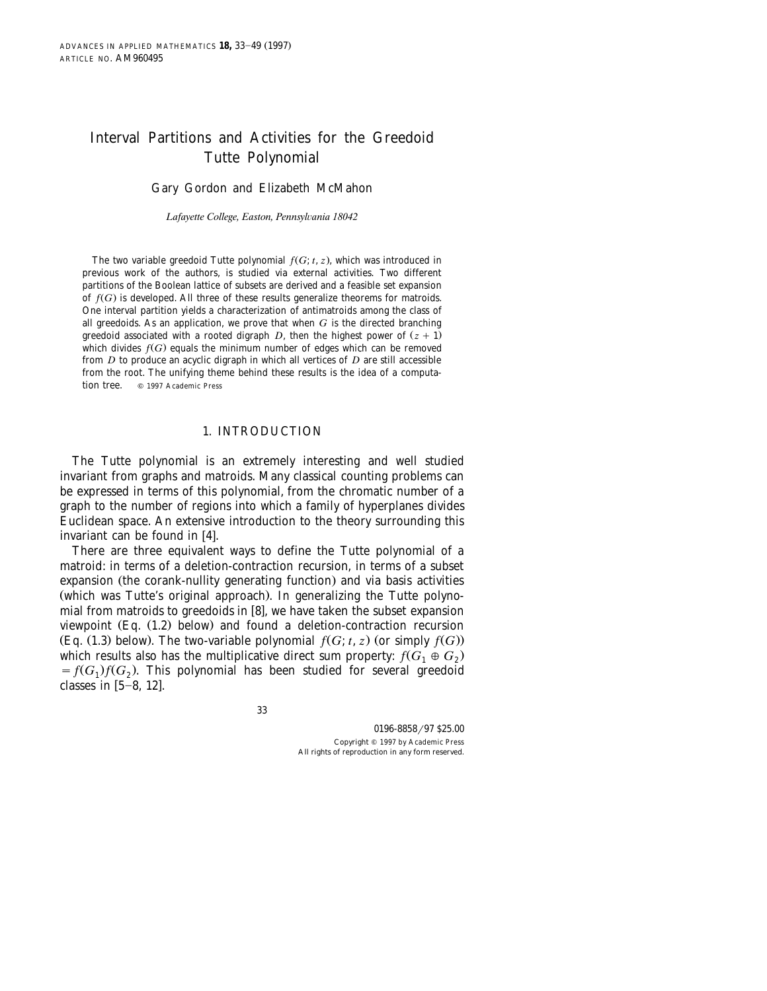# Interval Partitions and Activities for the Greedoid Tutte Polynomial

Gary Gordon and Elizabeth McMahon

*Lafayette College, Easton, Pennsyl*¨*ania 18042*

The two variable greedoid Tutte polynomial  $f(G; t, z)$ , which was introduced in previous work of the authors, is studied via external activities. Two different partitions of the Boolean lattice of subsets are derived and a feasible set expansion of  $f(G)$  is developed. All three of these results generalize theorems for matroids. One interval partition yields a characterization of antimatroids among the class of all greedoids. As an application, we prove that when *G* is the directed branching greedoid associated with a rooted digraph *D*, then the highest power of  $(z + 1)$ which divides  $f(G)$  equals the minimum number of edges which can be removed from *D* to produce an acyclic digraph in which all vertices of *D* are still accessible from the root. The unifying theme behind these results is the idea of a computation tree.  $Q = 1997$  Academic Press

#### 1. INTRODUCTION

The Tutte polynomial is an extremely interesting and well studied invariant from graphs and matroids. Many classical counting problems can be expressed in terms of this polynomial, from the chromatic number of a graph to the number of regions into which a family of hyperplanes divides Euclidean space. An extensive introduction to the theory surrounding this invariant can be found in  $[4]$ .

There are three equivalent ways to define the Tutte polynomial of a matroid: in terms of a deletion-contraction recursion, in terms of a subset expansion (the corank-nullity generating function) and via basis activities (which was Tutte's original approach). In generalizing the Tutte polynomial from matroids to greedoids in  $[8]$ , we have taken the subset expansion viewpoint  $(Eq. (1.2)$  below) and found a deletion-contraction recursion (Eq. (1.3) below). The two-variable polynomial  $f(G; t, z)$  (or simply  $f(G)$ ) which results also has the multiplicative direct sum property:  $f(G_1 \oplus G_2)$  $f(G_1)f(G_2)$ . This polynomial has been studied for several greedoid classes in  $[5-8, 12]$ .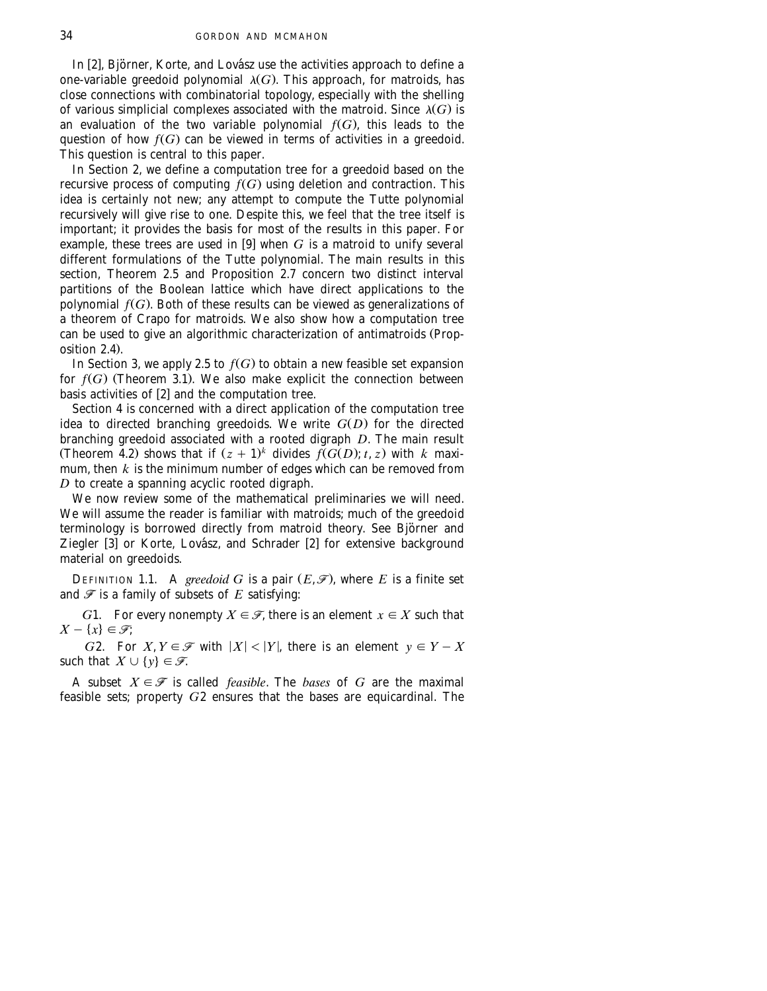In [2], Björner, Korte, and Lovász use the activities approach to define a one-variable greedoid polynomial  $\lambda(G)$ . This approach, for matroids, has close connections with combinatorial topology, especially with the shelling of various simplicial complexes associated with the matroid. Since  $\lambda(G)$  is an evaluation of the two variable polynomial  $f(G)$ , this leads to the question of how  $f(G)$  can be viewed in terms of activities in a greedoid. This question is central to this paper.

In Section 2, we define a computation tree for a greedoid based on the recursive process of computing  $f(G)$  using deletion and contraction. This idea is certainly not new; any attempt to compute the Tutte polynomial recursively will give rise to one. Despite this, we feel that the tree itself is important; it provides the basis for most of the results in this paper. For example, these trees are used in [9] when  $G$  is a matroid to unify several different formulations of the Tutte polynomial. The main results in this section, Theorem 2.5 and Proposition 2.7 concern two distinct interval partitions of the Boolean lattice which have direct applications to the polynomial  $f(G)$ . Both of these results can be viewed as generalizations of a theorem of Crapo for matroids. We also show how a computation tree can be used to give an algorithmic characterization of antimatroids (Prop $osition 2.4.$ 

In Section 3, we apply 2.5 to  $f(G)$  to obtain a new feasible set expansion for  $f(G)$  (Theorem 3.1). We also make explicit the connection between basis activities of  $[2]$  and the computation tree.

Section 4 is concerned with a direct application of the computation tree idea to directed branching greedoids. We write  $G(D)$  for the directed branching greedoid associated with a rooted digraph *D*. The main result (Theorem 4.2) shows that if  $(z + 1)^k$  divides  $\widetilde{f}(G(D); t, z)$  with *k* maximum, then  $k$  is the minimum number of edges which can be removed from *D* to create a spanning acyclic rooted digraph.

We now review some of the mathematical preliminaries we will need. We will assume the reader is familiar with matroids; much of the greedoid terminology is borrowed directly from matroid theory. See Björner and Ziegler  $[3]$  or Korte, Lovász, and Schrader  $[2]$  for extensive background material on greedoids.

DEFINITION 1.1. A *greedoid* G is a pair  $(E, \mathcal{F})$ , where E is a finite set and  $\mathcal F$  is a family of subsets of  $E$  satisfying:

*G*1. For every nonempty  $X \in \mathcal{F}$ , there is an element  $x \in X$  such that  $X - \{x\} \in \mathcal{F}$ ;

*G*2. For  $X, Y \in \mathcal{F}$  with  $|X| < |Y|$ , there is an element  $y \in Y - X$ such that  $X \cup \{y\} \in \mathcal{F}$ .

A subset  $X \in \mathcal{F}$  is called *feasible*. The *bases* of *G* are the maximal feasible sets; property *G*2 ensures that the bases are equicardinal. The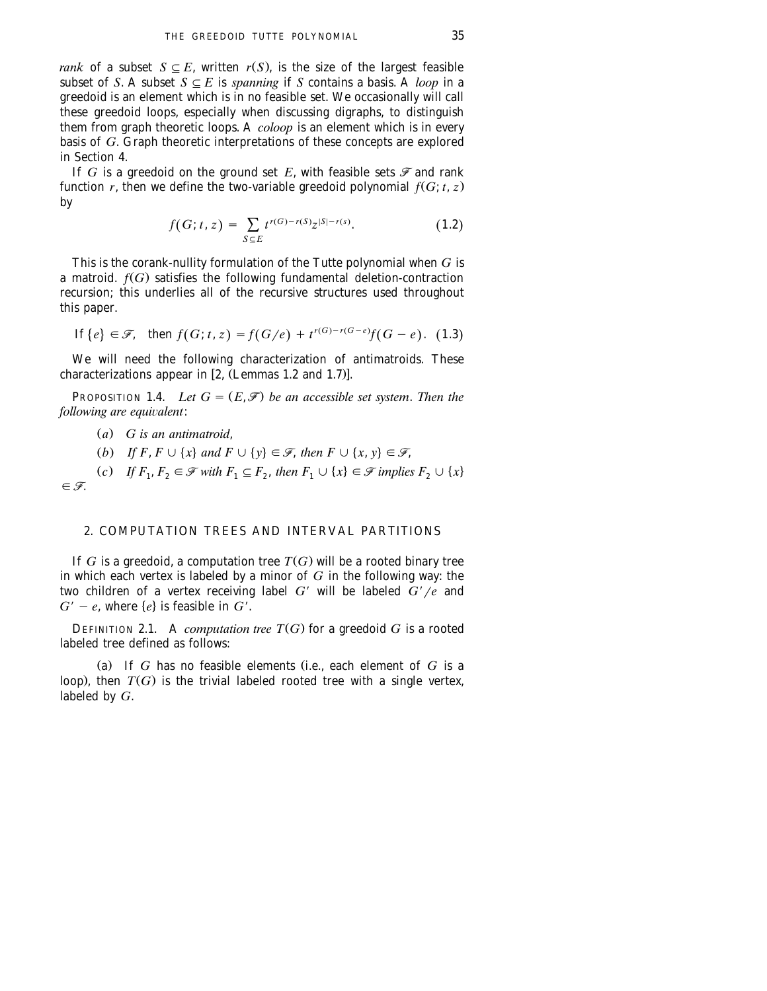*rank* of a subset  $S \subseteq E$ , written  $r(S)$ , is the size of the largest feasible subset of *S*. A subset  $S \subseteq E$  is *spanning* if *S* contains a basis. A *loop* in a greedoid is an element which is in no feasible set. We occasionally will call these greedoid loops, especially when discussing digraphs, to distinguish them from graph theoretic loops. A *coloop* is an element which is in every basis of *G*. Graph theoretic interpretations of these concepts are explored in Section 4.

If *G* is a greedoid on the ground set *E*, with feasible sets  $\mathcal F$  and rank function *r*, then we define the two-variable greedoid polynomial  $f(G; t, z)$ by

$$
f(G; t, z) = \sum_{S \subseteq E} t^{r(G) - r(S)} z^{|S| - r(s)}.
$$
 (1.2)

This is the corank-nullity formulation of the Tutte polynomial when *G* is a matroid.  $f(G)$  satisfies the following fundamental deletion-contraction recursion; this underlies all of the recursive structures used throughout this paper.

If 
$$
\{e\} \in \mathcal{F}
$$
, then  $f(G; t, z) = f(G/e) + t^{r(G)-r(G-e)}f(G-e)$ . (1.3)

We will need the following characterization of antimatroids. These characterizations appear in  $[2,$  (Lemmas 1.2 and 1.7)].

**PROPOSITION 1.4.** *Let*  $G = (E, \mathcal{F})$  *be an accessible set system. Then the following are equivalent:* 

 $(a)$  *G* is an antimatroid,

(b) If F,  $F \cup \{x\}$  and  $F \cup \{y\} \in \mathcal{F}$ , then  $F \cup \{x, y\} \in \mathcal{F}$ ,

(c) If  $F_1, F_2 \in \mathcal{F}$  with  $F_1 \subseteq F_2$ , then  $F_1 \cup \{x\} \in \mathcal{F}$  implies  $F_2 \cup \{x\}$  $\in \mathscr{F}$ .

### 2. COMPUTATION TREES AND INTERVAL PARTITIONS

If  $G$  is a greedoid, a computation tree  $T(G)$  will be a rooted binary tree in which each vertex is labeled by a minor of *G* in the following way: the two children of a vertex receiving label  $G'$  will be labeled  $G'/e$  and  $G' - e$ , where  $\{e\}$  is feasible in  $G'$ .

DEFINITION 2.1. A *computation tree*  $T(G)$  for a greedoid  $G$  is a rooted labeled tree defined as follows:

(a) If  $G$  has no feasible elements (i.e., each element of  $G$  is a loop), then  $T(G)$  is the trivial labeled rooted tree with a single vertex, labeled by *G*.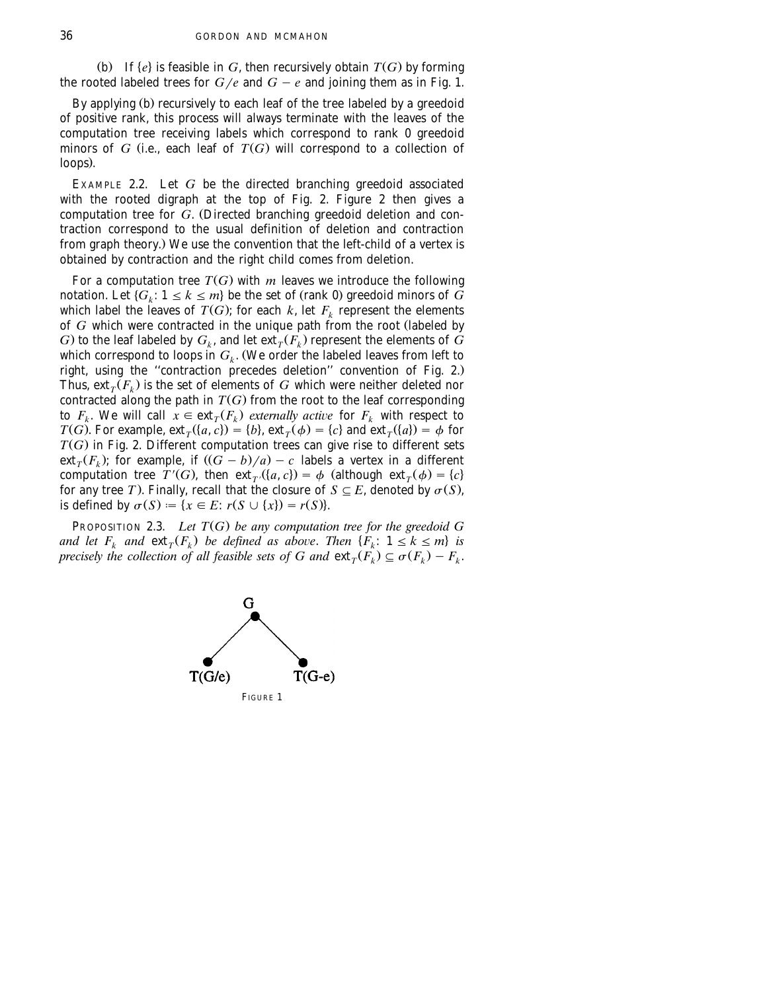(b) If  $\{e\}$  is feasible in *G*, then recursively obtain  $T(G)$  by forming the rooted labeled trees for  $G/e$  and  $G - e$  and joining them as in Fig. 1.

By applying (b) recursively to each leaf of the tree labeled by a greedoid of positive rank, this process will always terminate with the leaves of the computation tree receiving labels which correspond to rank 0 greedoid minors of *G* (i.e., each leaf of  $T(G)$  will correspond to a collection of loops).

EXAMPLE 2.2. Let *G* be the directed branching greedoid associated with the rooted digraph at the top of Fig. 2. Figure 2 then gives a computation tree for *G*. (Directed branching greedoid deletion and contraction correspond to the usual definition of deletion and contraction from graph theory.) We use the convention that the left-child of a vertex is obtained by contraction and the right child comes from deletion.

For a computation tree  $T(G)$  with  $m$  leaves we introduce the following notation. Let  $\{G_k\colon 1\leq k\leq m\}$  be the set of (rank 0) greedoid minors of  $\widetilde{G}$ which label the leaves of  $T(G)$ ; for each k, let  $F_k$  represent the elements of *G* which were contracted in the unique path from the root (labeled by *G*) to the leaf labeled by  $G_k$ , and let  $ext{ext}_T(F_k)$  represent the elements of *G* which correspond to loops in  $G_k$ . (We order the labeled leaves from left to right, using the "contraction precedes deletion" convention of Fig. 2.) Thus,  $ext{ext}_{\tau}(\overline{F_k})$  is the set of elements of *G* which were neither deleted nor contracted along the path in  $T(G)$  from the root to the leaf corresponding to  $F_k$ . We will call  $\hat{x} \in \text{ext}_{T}(F_k)$  externally active for  $F_k$  with respect to  $T(G)$ . For example,  $ext_{\tau}(\{a, c\}) = \{b\}$ ,  $ext_{\tau}(\phi) = \{c\}$  and  $ext_{\tau}(\{a\}) = \phi$  for  $T(G)$  in Fig. 2. Different computation trees can give rise to different sets  $ext_{\tau}(F_k)$ ; for example, if  $((G - b)/a) - c$  labels a vertex in a different computation tree  $T'(G)$ , then  $ext{ext}_{T'}(\{a, c\}) = \phi$  (although  $ext_{T}(\phi) = \{c\}$ for any tree *T*). Finally, recall that the closure of  $S \subseteq E$ , denoted by  $\sigma(S)$ , is defined by  $\sigma(S) := \{x \in E : r(S \cup \{x\}) = r(S)\}.$ 

PROPOSITION 2.3. *Let*  $T(G)$  *be any computation tree for the greedoid*  $G$ *and let*  $F_k$  *and*  $ext{ext}_T(F_k)$  *be defined as above. Then*  $\{F_k: 1 \le k \le m\}$  *is precisely the collection of all feasible sets of G and*  $ext{ext}_{T}(F_{k}) \subseteq \sigma(F_{k}) - F_{k}$ .



FIGURE 1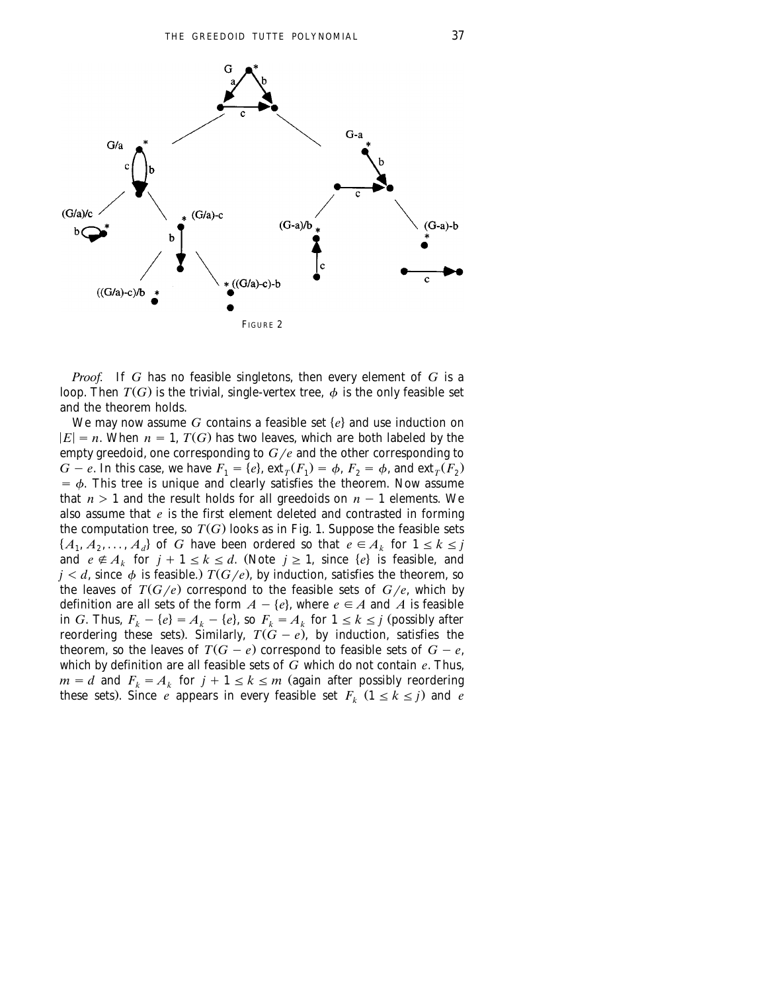

*Proof.* If *G* has no feasible singletons, then every element of *G* is a loop. Then  $T(G)$  is the trivial, single-vertex tree,  $\phi$  is the only feasible set and the theorem holds.

We may now assume  $G$  contains a feasible set  $\{e\}$  and use induction on  $|E| = n$ . When  $n = 1$ ,  $T(G)$  has two leaves, which are both labeled by the empty greedoid, one corresponding to  $G/e$  and the other corresponding to  $G - e$ . In this case, we have  $F_1 = \{e\}$ ,  $ext{ext}_T(F_1) = \phi$ ,  $F_2 = \phi$ , and  $ext_T(F_2)$  $=$   $\phi$ . This tree is unique and clearly satisfies the theorem. Now assume that  $n > 1$  and the result holds for all greedoids on  $n - 1$  elements. We also assume that *e* is the first element deleted and contrasted in forming the computation tree, so  $T(G)$  looks as in Fig. 1. Suppose the feasible sets  $\{A_1, A_2, \ldots, A_d\}$  of *G* have been ordered so that  $e \in A_k$  for  $1 \le k \le j$ and  $e \notin A_k$  for  $j + 1 \le k \le d$ . (Note  $j \ge 1$ , since  $\{e\}$  is feasible, and  $j < d$ , since  $\phi$  is feasible.)  $T(G/e)$ , by induction, satisfies the theorem, so the leaves of  $T(G/e)$  correspond to the feasible sets of  $G/e$ , which by definition are all sets of the form  $A - \{e\}$ , where  $e \in A$  and A is feasible in *G*. Thus,  $F_k - \{e\} = A_k - \{e\}$ , so  $F_k = A_k$  for  $1 \le k \le j$  (possibly after reordering these sets). Similarly,  $T(G - e)$ , by induction, satisfies the theorem, so the leaves of  $T(G - e)$  correspond to feasible sets of  $G - e$ , which by definition are all feasible sets of *G* which do not contain *e*. Thus,  $m = d$  and  $F_k = A_k$  for  $j + 1 \le k \le m$  (again after possibly reordering these sets). Since *e* appears in every feasible set  $F_k (1 \le k \le j)$  and *e*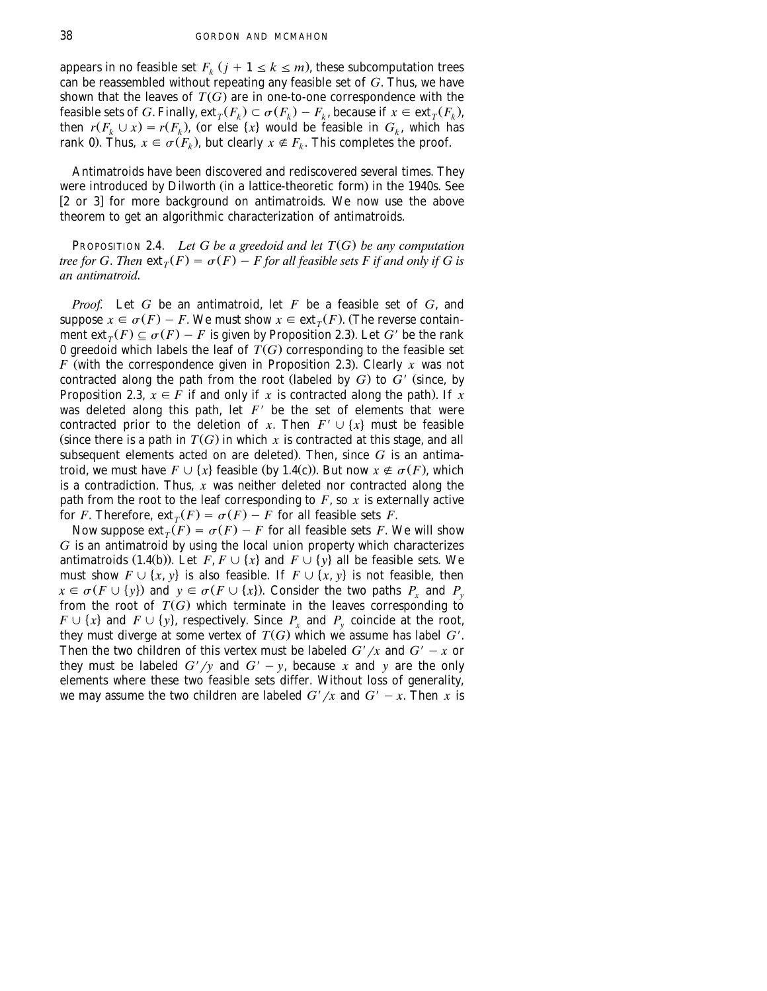appears in no feasible set  $F_k$  ( $j + 1 \le k \le m$ ), these subcomputation trees can be reassembled without repeating any feasible set of *G*. Thus, we have shown that the leaves of  $T(G)$  are in one-to-one correspondence with the feasible sets of *G*. Finally,  $ext_T(F_k) \subset \sigma(F_k) - F_k$ , because if  $x \in ext_T(F_k)$ , then  $r(F_k \cup x) = r(F_k)$ , (or else  $\{x\}$  would be feasible in  $G_k$ , which has rank 0). Thus,  $x \in \sigma(F_k)$ , but clearly  $x \notin F_k$ . This completes the proof.

Antimatroids have been discovered and rediscovered several times. They were introduced by Dilworth (in a lattice-theoretic form) in the 1940s. See [2 or 3] for more background on antimatroids. We now use the above theorem to get an algorithmic characterization of antimatroids.

PROPOSITION 2.4. *Let G be a greedoid and let*  $T(G)$  *be any computation tree for G. Then*  $ext{ext}_{T}(F) = \sigma(F) - F$  *for all feasible sets F if and only if G is an antimatroid*.

*Proof.* Let *G* be an antimatroid, let *F* be a feasible set of *G*, and suppose  $x \in \sigma(F) - F$ . We must show  $x \in \text{ext}_{T}(F)$ . (The reverse containment  $ext{ext}_{T}(F) \subseteq \sigma(F) - F$  is given by Proposition 2.3). Let *G'* be the rank 0 greedoid which labels the leaf of  $\overline{T(G)}$  corresponding to the feasible set *F* (with the correspondence given in Proposition 2.3). Clearly *x* was not contracted along the path from the root (labeled by  $G$ ) to  $G'$  (since, by Proposition 2.3,  $x \in \overline{F}$  if and only if *x* is contracted along the path). If x was deleted along this path, let  $F'$  be the set of elements that were contracted prior to the deletion of *x*. Then  $F' \cup \{x\}$  must be feasible (since there is a path in  $T(G)$  in which x is contracted at this stage, and all subsequent elements acted on are deleted). Then, since  $G$  is an antimatroid, we must have  $F \cup \{x\}$  feasible (by 1.4(c)). But now  $x \notin \sigma(F)$ , which is a contradiction. Thus, *x* was neither deleted nor contracted along the path from the root to the leaf corresponding to  $F$ , so  $x$  is externally active for *F*. Therefore,  $ext{ext}_{T}(F) = \sigma(F) - F$  for all feasible sets *F*.

Now suppose  $ext_T(F) = \sigma(F) - F$  for all feasible sets *F*. We will show *G* is an antimatroid by using the local union property which characterizes antimatroids (1.4(b)). Let  $\overrightarrow{F}$ ,  $F \cup \{x\}$  and  $F \cup \{y\}$  all be feasible sets. We must show  $F \cup \{x, y\}$  is also feasible. If  $F \cup \{x, y\}$  is not feasible, then  $x \in \sigma(F \cup \{y\})$  and  $y \in \sigma(F \cup \{x\})$ . Consider the two paths  $P_x$  and  $P_y$ from the root of  $T(G)$  which terminate in the leaves corresponding to  $F \cup \{x\}$  and  $F \cup \{y\}$ , respectively. Since  $P_x$  and  $P_y$  coincide at the root, they must diverge at some vertex of  $T(G)$  which we assume has label  $G'$ . Then the two children of this vertex must be labeled  $G'/x$  and  $G' - x$  or they must be labeled  $G'/y$  and  $G'-y$ , because *x* and *y* are the only elements where these two feasible sets differ. Without loss of generality, we may assume the two children are labeled  $G'/x$  and  $G' - x$ . Then *x* is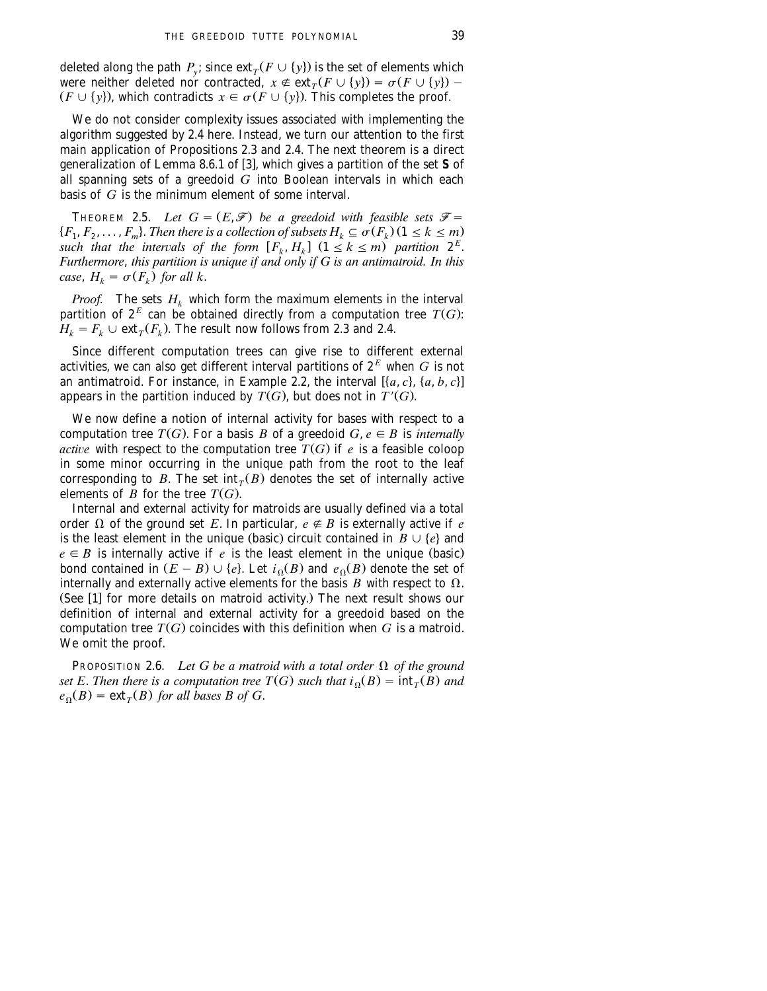deleted along the path  $P_y$ ; since  $ext_T(F \cup \{y\})$  is the set of elements which were neither deleted nor contracted,  $x \notin \text{ext}_{T}(F \cup \{y\}) = \sigma(F \cup \{y\})$  –  $(F \cup \{y\})$ , which contradicts  $x \in \sigma(F \cup \{y\})$ . This completes the proof.

We do not consider complexity issues associated with implementing the algorithm suggested by 2.4 here. Instead, we turn our attention to the first main application of Propositions 2.3 and 2.4. The next theorem is a direct generalization of Lemma 8.6.1 of [3], which gives a partition of the set S of all spanning sets of a greedoid *G* into Boolean intervals in which each basis of *G* is the minimum element of some interval.

**THEOREM 2.5.** Let  $G = (E, \mathcal{F})$  be a greedoid with feasible sets  $\mathcal{F} =$  ${F_1, F_2, \ldots, F_m}$ . *Then there is a collection of subsets*  $H_k \subseteq \sigma(F_k)$   $(1 \leq k \leq m)$ such that the intervals of the form  $[F_k, H_k]$   $(1 \leq k \leq m)$  partition  $2^E$ . *Furthermore*, *this partition is unique if and only if G is an antimatroid*. *In this case*,  $H_k = \sigma(F_k)$  *for all k*.

*Proof.* The sets  $H_k$  which form the maximum elements in the interval partition of  $2^E$  can be obtained directly from a computation tree  $T(G)$ :  $H_k = F_k \cup \text{ext}_{\tau}(F_k)$ . The result now follows from 2.3 and 2.4.

Since different computation trees can give rise to different external activities, we can also get different interval partitions of  $2^E$  when  $G$  is not an antimatroid. For instance, in Example 2.2, the interval  $[\{a, c\}, \{a, b, c\}]$ appears in the partition induced by  $T(G)$ , but does not in  $T'(G)$ .

We now define a notion of internal activity for bases with respect to a computation tree *T*(*G*). For a basis *B* of a greedoid *G*,  $e \in B$  is *internally active* with respect to the computation tree  $T(G)$  if *e* is a feasible coloop in some minor occurring in the unique path from the root to the leaf corresponding to *B*. The set int<sub>*T*</sub>(*B*) denotes the set of internally active elements of  $\overline{B}$  for the tree  $T(G)$ .

Internal and external activity for matroids are usually defined via a total order  $\Omega$  of the ground set *E*. In particular,  $e \notin B$  is externally active if *e* is the least element in the unique (basic) circuit contained in  $B \cup \{e\}$  and  $e \in B$  is internally active if *e* is the least element in the unique (basic) bond contained in  $(E - B) \cup \{e\}$ . Let  $i_0(B)$  and  $e_0(B)$  denote the set of internally and externally active elements for the basis  $B$  with respect to  $\Omega$ .  $(See [1]$  for more details on matroid activity.) The next result shows our definition of internal and external activity for a greedoid based on the computation tree  $T(G)$  coincides with this definition when G is a matroid. We omit the proof.

PROPOSITION 2.6. *Let G be a matroid with a total order*  $\Omega$  *of the ground set E. Then there is a computation tree T(G) such that*  $i_{\Omega}(B) = \text{int}_{T}(B)$  and  $e_{\Omega}(B) = \text{ext}_{T}(B)$  for all bases B of G.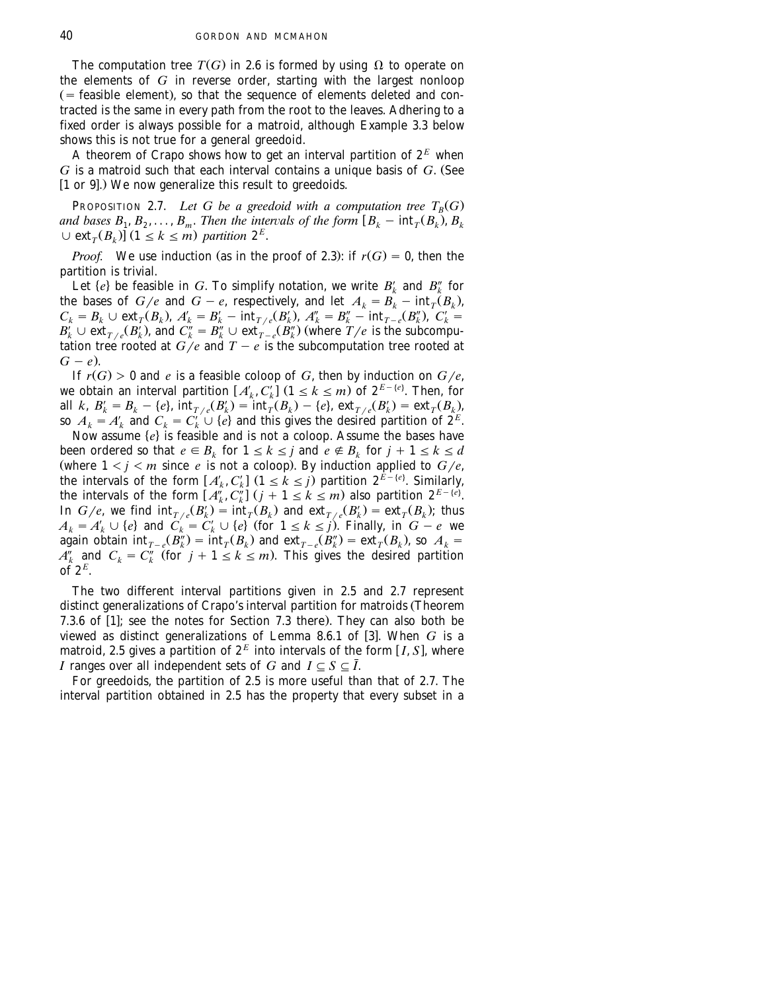The computation tree  $T(G)$  in 2.6 is formed by using  $\Omega$  to operate on the elements of *G* in reverse order, starting with the largest nonloop  $($  = feasible element), so that the sequence of elements deleted and contracted is the same in every path from the root to the leaves. Adhering to a fixed order is always possible for a matroid, although Example 3.3 below shows this is not true for a general greedoid.

A theorem of Crapo shows how to get an interval partition of  $2^E$  when  $G$  is a matroid such that each interval contains a unique basis of  $G$ . (See [1 or 9].) We now generalize this result to greedoids.

PROPOSITION 2.7. Let G be a greedoid with a computation tree  $T_R(G)$ *and bases*  $B_1, B_2, \ldots, B_m$ . Then the intervals of the form  $[B_k - \text{int}_T(B_k), B_k]$  $\cup$  ext<sub>*T*</sub>( $B_k$ )] (1  $\leq k \leq m$ ) partition 2<sup>E</sup>.

*Proof.* We use induction (as in the proof of 2.3): if  $r(G) = 0$ , then the partition is trivial.

Let  $\{e\}$  be feasible in *G*. To simplify notation, we write  $B'_k$  and  $B''_k$  for the bases of  $G/e$  and  $G - e$ , respectively, and let  $A_k = B_k - \text{int}_{T}(B_k)$ ,  $C_k = B_k \cup \text{ext}_{T}(B_k)$ ,  $A'_k = B'_k - \text{int}_{T/e}(B'_k)$ ,  $A''_k = B''_k - \text{int}_{T-e}(B''_k)$ ,  $C'_k = B'_k \cup \text{ext}_{T/e}(B'_k)$ , and  $C''_k = B''_k \cup \text{ext}_{T-e}(B''_k)$  (where  $T/e$  is the subcomputation tree rooted at  $G/e$  and  $T - e$  is the subcomputation tree rooted at  $G - e$ ).

If  $r(G) > 0$  and *e* is a feasible coloop of *G*, then by induction on  $G/e$ ,<br>we obtain an interval partition  $[A'_k, C'_k]$   $(1 \le k \le m)$  of  $2^{E - \{e\}}$ . Then, for<br>all  $k$ ,  $B'_k = B_k - \{e\}$ ,  $\text{int}_{T/e}(B'_k) = \text{int}_T(B_k) - \{e\}$ ,  $\text{ext}_{T$ 

Now assume  $\{e\}$  is feasible and is not a coloop. Assume the bases have been ordered so that  $e \in B_k$  for  $1 \le k \le j$  and  $e \notin B_k$  for  $j + 1 \le k \le d$ (where  $1 \leq j \leq m$  since *e* is not a coloop). By induction applied to  $G/e$ , the intervals of the form  $[A'_k, C'_k]$   $(1 \leq k \leq j)$  partition  $2^{k - \{e\}}$ . Similarly, the intervals of the form  $[A_k^{\prime\prime}, C_k^{\prime\prime}]$   $(j + 1 \le k \le m)$  also partition  $2^{E - \{e\}}$ . In  $G/e$ , we find  $\text{int}_{T/e}(B'_k) = \text{int}_T(B_k)$  and  $\text{ext}_{T/e}(B'_k) = \text{ext}_T(B_k)$ ; thus  $A_k = A'_k \cup \{e\}$  and  $C_k = C'_k \cup \{e\}$  (for  $1 \le k \le j$ ). Finally, in  $G - e$  we again obtain  $\text{int}_{T-e}(B''_k) = \text{int}_T(B_k)$  and  $\text{ext}_{T-e}(B''_k) = \text{ext}_T(B_k)$ ,  $A''_k$  and  $C_k = C''_k$  (for  $j + 1 \le k \le m$ ). This gives the desired partition of  $2^E$ .

The two different interval partitions given in 2.5 and 2.7 represent distinct generalizations of Crapo's interval partition for matroids (Theorem 7.3.6 of  $[1]$ ; see the notes for Section 7.3 there). They can also both be viewed as distinct generalizations of Lemma 8.6.1 of [3]. When G is a *E* matroid, 2.5 gives a partition of  $2^E$  into intervals of the form [*I*, *S*], where *I* ranges over all independent sets of *G* and  $I \subseteq S \subseteq \overline{I}$ .

For greedoids, the partition of 2.5 is more useful than that of 2.7. The interval partition obtained in 2.5 has the property that every subset in a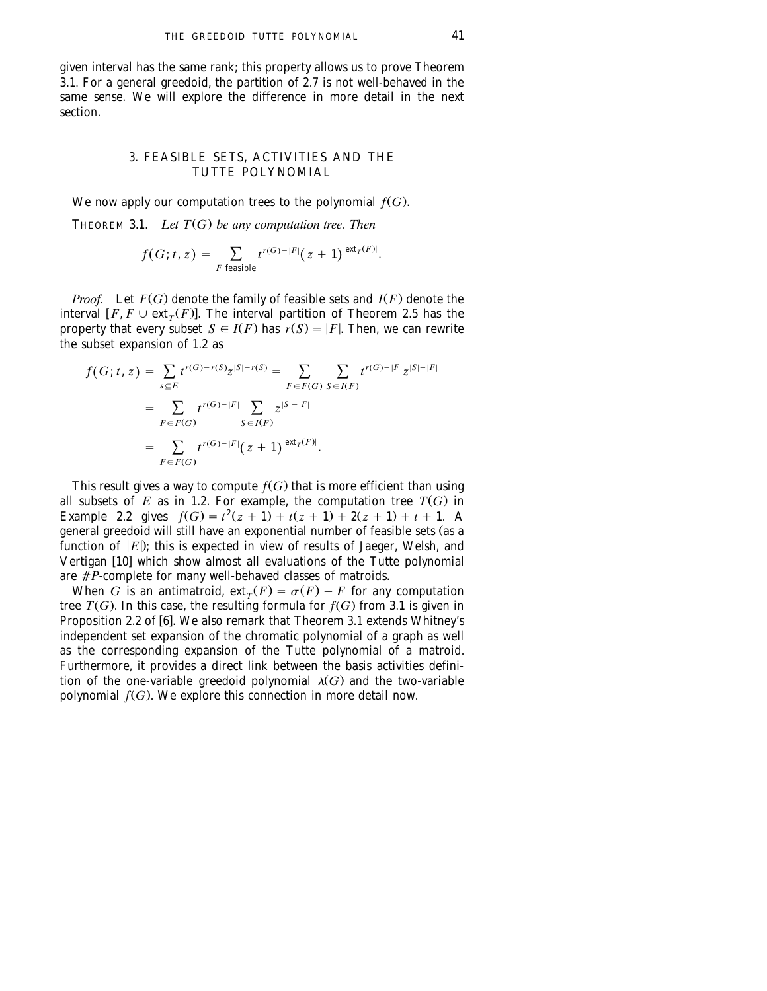given interval has the same rank; this property allows us to prove Theorem 3.1. For a general greedoid, the partition of 2.7 is not well-behaved in the same sense. We will explore the difference in more detail in the next section.

# 3. FEASIBLE SETS, ACTIVITIES AND THE TUTTE POLYNOMIAL

We now apply our computation trees to the polynomial  $f(G)$ .

THEOREM 3.1. *Let*  $T(G)$  *be any computation tree. Then* 

$$
f(G; t, z) = \sum_{F \text{ feasible}} t^{r(G)-|F|} (z+1)^{|\text{ext}_{T}(F)|}.
$$

*Proof.* Let  $F(G)$  denote the family of feasible sets and  $I(F)$  denote the interval  $F, F \cup \text{ext}_{T}(F)$ . The interval partition of Theorem 2.5 has the property that every subset  $S \in I(F)$  has  $r(S) = |F|$ . Then, we can rewrite the subset expansion of 1.2 as

$$
f(G; t, z) = \sum_{s \subseteq E} t^{r(G) - r(S)} z^{|S| - r(S)} = \sum_{F \in F(G)} \sum_{S \in I(F)} t^{r(G) - |F|} z^{|S| - |F|}
$$
  
= 
$$
\sum_{F \in F(G)} t^{r(G) - |F|} \sum_{S \in I(F)} z^{|S| - |F|}
$$
  
= 
$$
\sum_{F \in F(G)} t^{r(G) - |F|} (z + 1)^{|\text{ext}_{T}(F)|}.
$$

This result gives a way to compute  $f(G)$  that is more efficient than using all subsets of  $E$  as in 1.2. For example, the computation tree  $T(G)$  in Example 2.2 gives  $f(G) = t^2(z + 1) + t(z + 1) + 2(z + 1) + t + 1$ . A general greedoid will still have an exponential number of feasible sets (as a function of  $|E|$ ; this is expected in view of results of Jaeger, Welsh, and Vertigan [10] which show almost all evaluations of the Tutte polynomial are #P-complete for many well-behaved classes of matroids.

When *G* is an antimatroid,  $ext{ext}_{T}(F) = \sigma(F) - F$  for any computation tree  $T(G)$ . In this case, the resulting formula for  $f(G)$  from 3.1 is given in Proposition 2.2 of [6]. We also remark that Theorem 3.1 extends Whitney's independent set expansion of the chromatic polynomial of a graph as well as the corresponding expansion of the Tutte polynomial of a matroid. Furthermore, it provides a direct link between the basis activities definition of the one-variable greedoid polynomial  $\lambda(G)$  and the two-variable polynomial  $f(G)$ . We explore this connection in more detail now.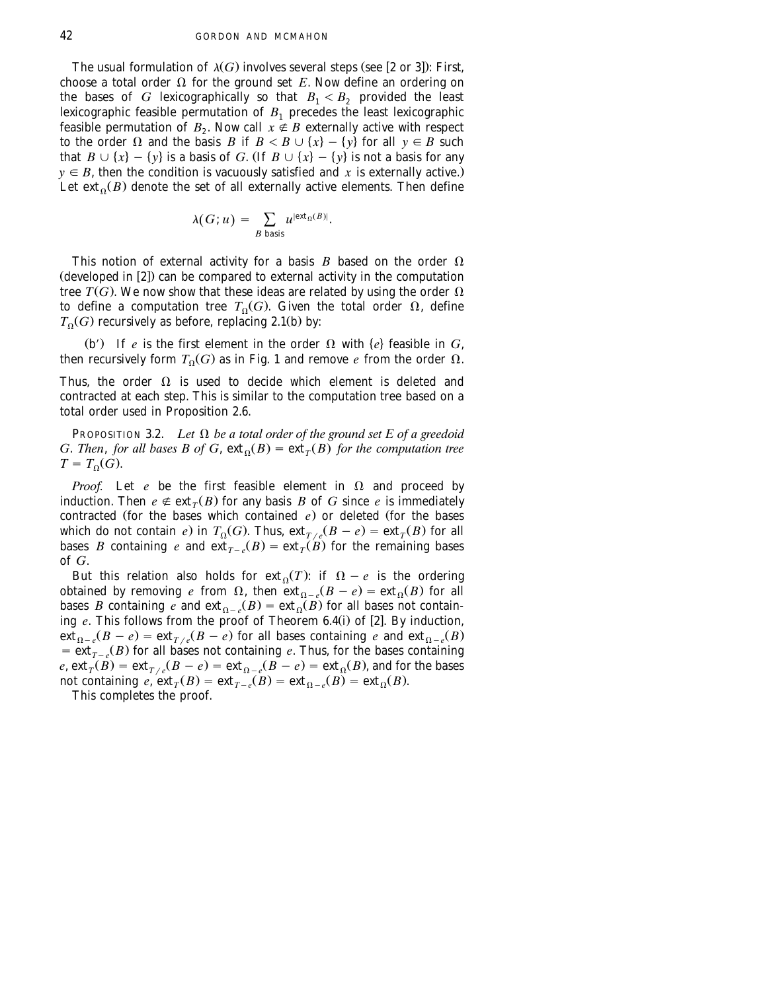The usual formulation of  $\lambda(G)$  involves several steps (see [2 or 3]): First, choose a total order  $\Omega$  for the ground set *E*. Now define an ordering on the bases of  $G$  lexicographically so that  $B_1 < B_2$  provided the least lexicographic feasible permutation of  $B_1$  precedes the least lexicographic feasible permutation of  $B_2$ . Now call  $x \notin B$  externally active with respect to the order  $\Omega$  and the basis *B* if  $B < B \cup \{x\} - \{y\}$  for all  $y \in B$  such that  $B \cup \{x\} - \{y\}$  is a basis of *G*. If  $B \cup \{x\} - \{y\}$  is not a basis for any  $y \in B$ , then the condition is vacuously satisfied and *x* is externally active. Let  $ext{ext}_{\alpha}(B)$  denote the set of all externally active elements. Then define

$$
\lambda(G; u) = \sum_{B \text{ basis}} u^{\mid \text{ext}_{\Omega}(B) \mid}.
$$

This notion of external activity for a basis  $B$  based on the order  $\Omega$  $($ developed in  $[2]$ ) can be compared to external activity in the computation tree  $T(G)$ . We now show that these ideas are related by using the order  $\Omega$ to define a computation tree  $T_0(G)$ . Given the total order  $\Omega$ , define  $T<sub>0</sub>(G)$  recursively as before, replacing 2.1(b) by:

(b') If *e* is the first element in the order  $\Omega$  with  $\{e\}$  feasible in *G*, then recursively form  $T_0(G)$  as in Fig. 1 and remove *e* from the order  $\Omega$ .

Thus, the order  $\Omega$  is used to decide which element is deleted and contracted at each step. This is similar to the computation tree based on a total order used in Proposition 2.6.

PROPOSITION 3.2. *Let*  $\Omega$  *be a total order of the ground set E of a greedoid G*. *Then, for all bases B of G, ext*  $_0(B) = \text{ext}_{\tau}(B)$  *for the computation tree*  $T = T<sub>0</sub>(G)$ .

*Proof.* Let *e* be the first feasible element in  $\Omega$  and proceed by induction. Then  $e \notin \text{ext}_{\tau}(B)$  for any basis *B* of *G* since *e* is immediately contracted (for the bases which contained  $e$ ) or deleted (for the bases which do not contain *e*) in  $T_0(G)$ . Thus,  $ext_{T/e}(B - e) = ext_T(B)$  for all bases *B* containing *e* and  $ext{ext}_{T-e}(B) = \text{ext}_{T}(B)$  for the remaining bases of *G*.

But this relation also holds for  $ext_0(T)$ : if  $\Omega - e$  is the ordering obtained by removing *e* from  $\Omega$ , then  $ext_{\Omega-e}(B-e) = ext_{\Omega}(B)$  for all bases *B* containing *e* and  $ext{ext}_{0-e}(B) = ext_{0} (B)$  for all bases not containing *e*. This follows from the proof of Theorem 6.4(i) of [2]. By induction,  $ext_{\Omega-\epsilon}(B-\epsilon) = \text{ext}_{T/\epsilon}(B-\epsilon)$  for all bases containing  $\epsilon$  and  $ext_{\Omega-\epsilon}(B)$  $s = \text{ext}_{T-e}(B)$  for all bases not containing *e*. Thus, for the bases containing  $e$ ,  $ext{ext}^{-}_{T}(B) = ext_{T/e}(B - e) = ext_{\Omega - e}(B - e) = ext_{\Omega}(B)$ , and for the bases not containing  $e$ ,  $ext{ext}_{T}(B) = ext_{T-e}(B) = ext_{\Omega-e}(B) = ext_{\Omega}(B)$ .

This completes the proof.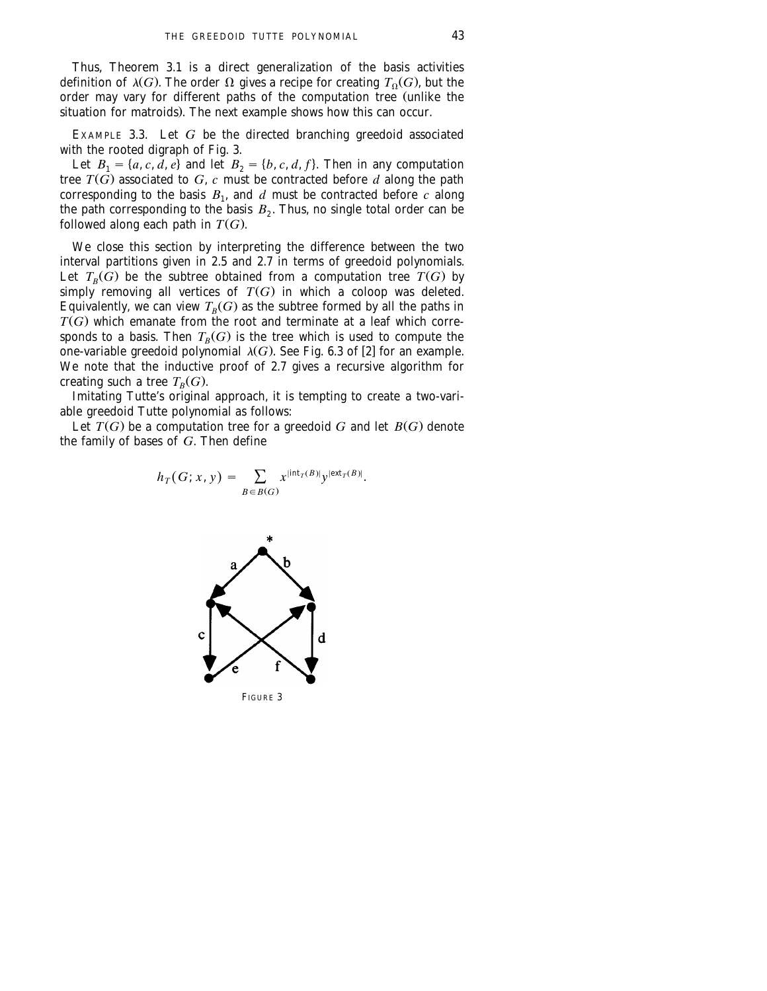Thus, Theorem 3.1 is a direct generalization of the basis activities definition of  $\lambda(G)$ . The order  $\Omega$  gives a recipe for creating  $T_0(G)$ , but the order may vary for different paths of the computation tree (unlike the situation for matroids). The next example shows how this can occur.

EXAMPLE 3.3. Let *G* be the directed branching greedoid associated with the rooted digraph of Fig. 3.

Let  $B_1 = \{a, c, d, e\}$  and let  $B_2 = \{b, c, d, f\}$ . Then in any computation tree  $T(G)$  associated to  $G$ ,  $c$  must be contracted before  $d$  along the path corresponding to the basis  $B_1$ , and  $d$  must be contracted before  $c$  along the path corresponding to the basis  $B_2$ . Thus, no single total order can be followed along each path in  $T(G)$ .

We close this section by interpreting the difference between the two interval partitions given in 2.5 and 2.7 in terms of greedoid polynomials. Let  $T_B(G)$  be the subtree obtained from a computation tree  $T(G)$  by simply removing all vertices of  $T(G)$  in which a coloop was deleted. Equivalently, we can view  $T_R(G)$  as the subtree formed by all the paths in  $T(G)$  which emanate from the root and terminate at a leaf which corresponds to a basis. Then  $T_R(G)$  is the tree which is used to compute the one-variable greedoid polynomial  $\lambda(G)$ . See Fig. 6.3 of [2] for an example. We note that the inductive proof of 2.7 gives a recursive algorithm for creating such a tree  $T_B(G)$ .

Imitating Tutte's original approach, it is tempting to create a two-variable greedoid Tutte polynomial as follows:

Let  $T(G)$  be a computation tree for a greedoid *G* and let  $B(G)$  denote the family of bases of *G*. Then define

$$
h_T(G; x, y) = \sum_{B \in B(G)} x^{\left| \operatorname{int}_T(B) \right|} y^{\left| \operatorname{ext}_T(B) \right|}.
$$



FIGURE 3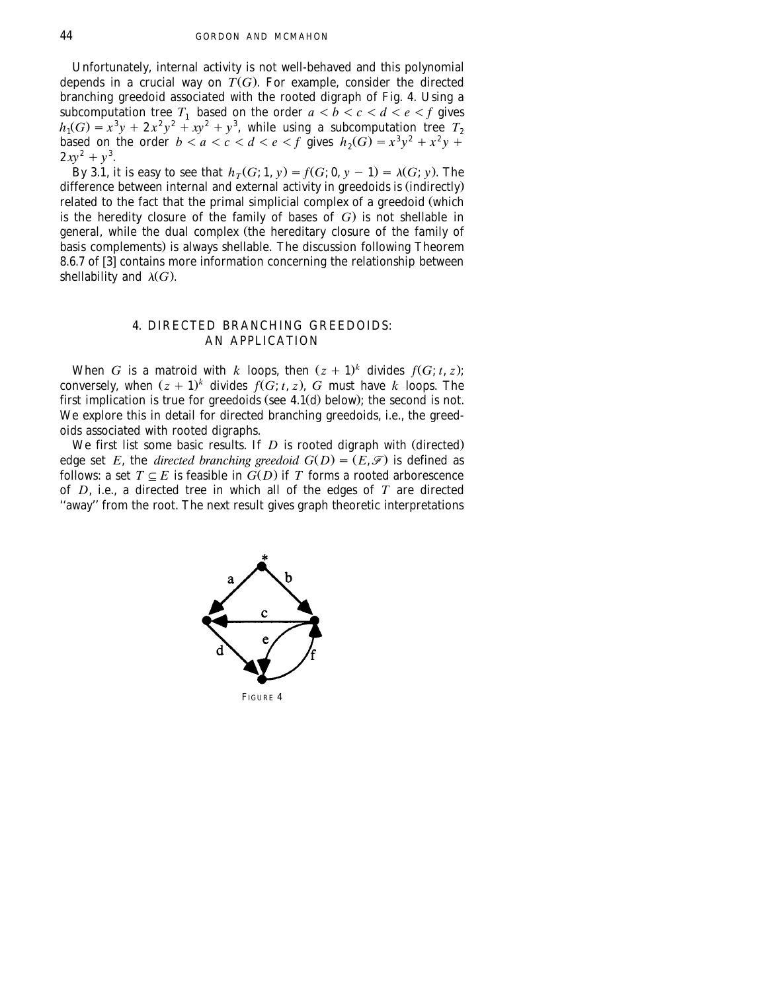Unfortunately, internal activity is not well-behaved and this polynomial depends in a crucial way on  $T(G)$ . For example, consider the directed branching greedoid associated with the rooted digraph of Fig. 4. Using a subcomputation tree  $T_1$  based on the order  $a < b < c < d < e < f$  gives  $h_1(G) = x^3y + 2x^2y^2 + xy^2 + y^3$ , while using a subcomputation tree  $T_2$ based on the order  $b < a < c < d < e < f$  gives  $h_2(G) = x^3y^2 + x^2y + x^2y + x^2y$  $2xy^2 + y^3$ .

By 3.1, it is easy to see that  $h_T(G; 1, y) = f(G; 0, y - 1) = \lambda(G; y)$ . The difference between internal and external activity in greedoids is (indirectly) related to the fact that the primal simplicial complex of a greedoid (which is the heredity closure of the family of bases of *G*) is not shellable in general, while the dual complex (the hereditary closure of the family of basis complements) is always shellable. The discussion following Theorem 8.6.7 of  $\overline{[3]}$  contains more information concerning the relationship between shellability and  $\lambda(G)$ .

# 4. DIRECTED BRANCHING GREEDOIDS: AN APPLICATION

When *G* is a matroid with *k* loops, then  $(z + 1)^k$  divides  $f(G; t, z)$ ; conversely, when  $(z + 1)^k$  divides  $f(G; t, z)$ , *G* must have *k* loops. The first implication is true for greedoids (see  $4.1$ (d) below); the second is not. We explore this in detail for directed branching greedoids, i.e., the greedoids associated with rooted digraphs.

We first list some basic results. If  $D$  is rooted digraph with  $\left($  directed) edge set *E*, the *directed branching greedoid*  $G(D) = (E, \mathcal{F})$  is defined as follows: a set  $T \subseteq E$  is feasible in  $G(D)$  if  $T$  forms a rooted arborescence of *D*, i.e., a directed tree in which all of the edges of *T* are directed "away" from the root. The next result gives graph theoretic interpretations



FIGURE 4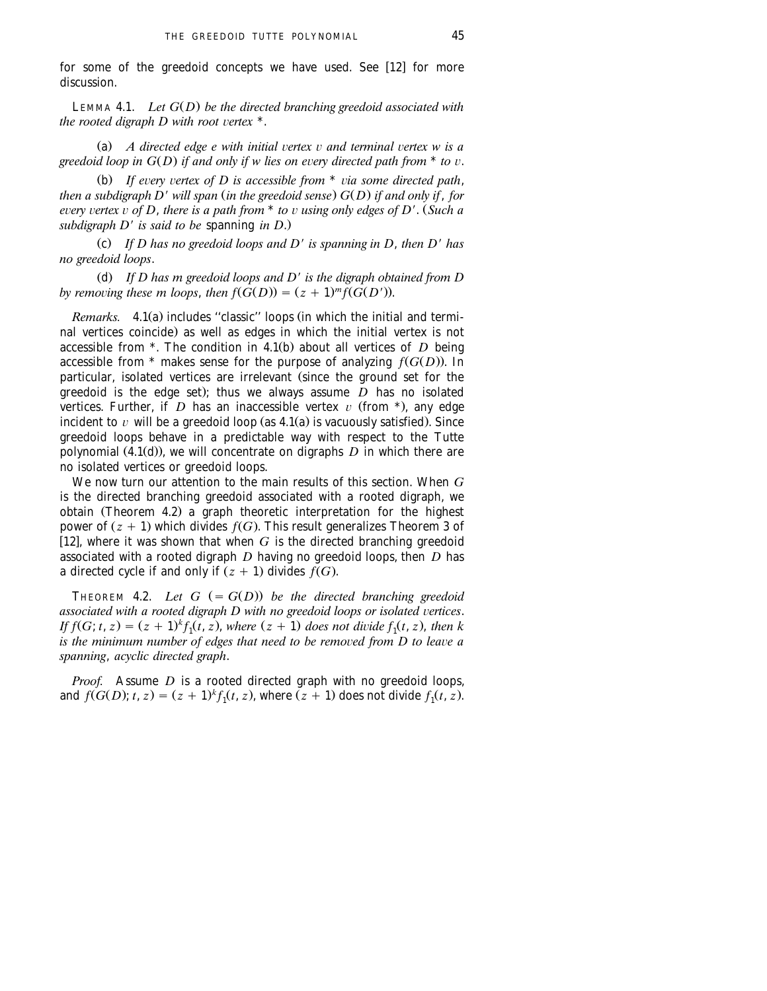for some of the greedoid concepts we have used. See  $[12]$  for more discussion.

LEMMA 4.1. *Let*  $G(D)$  *be the directed branching greedoid associated with the rooted digraph D with root vertex*  $*$ .

(a)  $\overline{A}$  directed edge  $\overline{e}$  with initial vertex  $\overline{v}$  and terminal vertex  $\overline{w}$  is a *greedoid loop in*  $G(D)$  *if and only if w lies on every directed path from*  $*$  *to*  $v$ .

(b) If every vertex of D is accessible from \* via some directed path, *then a subdigraph D' will span (in the greedoid sense)*  $G(D)$  *if and only if, for every vertex*  $\overline{v}$  *of D, there is a path from*  $*$  *to*  $\overline{v}$  *using only edges of D'.* (Such a *subdigraph D*9 *is said to be* spanning *in D*..

Ž . c *If D has no greedoid loops and D*9 *is spanning in D*, *then D*9 *has no greedoid loops*.

(d) If D has m greedoid loops and D' is the digraph obtained from D by removing these m loops, then  $f(\tilde{G}(D)) = (z + 1)^m f(\tilde{G}(D'))$ .

*Remarks.* 4.1(a) includes "classic" loops (in which the initial and terminal vertices coincide) as well as edges in which the initial vertex is not accessible from  $*$ . The condition in 4.1(b) about all vertices of D being accessible from  $*$  makes sense for the purpose of analyzing  $f(G(D))$ . In particular, isolated vertices are irrelevant (since the ground set for the greedoid is the edge set); thus we always assume  $\overrightarrow{D}$  has no isolated vertices. Further, if  $D$  has an inaccessible vertex  $v$  (from \*), any edge incident to  $v$  will be a greedoid loop (as  $4.1(a)$  is vacuously satisfied). Since greedoid loops behave in a predictable way with respect to the Tutte polynomial  $(4.1(d))$ , we will concentrate on digraphs  $D$  in which there are no isolated vertices or greedoid loops.

We now turn our attention to the main results of this section. When *G* is the directed branching greedoid associated with a rooted digraph, we obtain (Theorem 4.2) a graph theoretic interpretation for the highest power of  $(z + 1)$  which divides  $f(G)$ . This result generalizes Theorem 3 of [12], where it was shown that when  $G$  is the directed branching greedoid associated with a rooted digraph *D* having no greedoid loops, then *D* has a directed cycle if and only if  $(z + 1)$  divides  $f(G)$ .

THEOREM 4.2. Let  $G = G(D)$  be the directed branching greedoid *associated with a rooted digraph D with no greedoid loops or isolated vertices. If*  $f(G; t, z) = (z + 1)^k f_1(t, z)$ , where  $(z + 1)$  does not divide  $f_1(t, z)$ , then k *is the minimum number of edges that need to be removed from D to leave a spanning*, *acyclic directed graph*.

*Proof.* Assume *D* is a rooted directed graph with no greedoid loops, and  $f(G(D); t, z) = (z + 1)^k f_1(t, z)$ , where  $(z + 1)$  does not divide  $f_1(t, z)$ .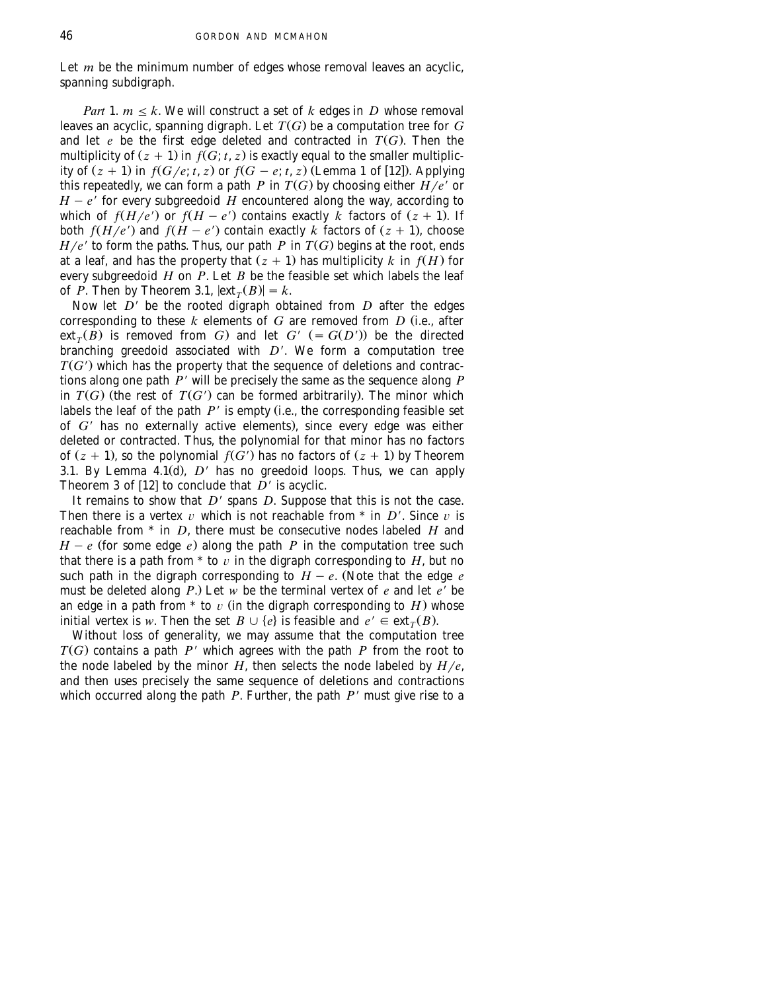Let  $m$  be the minimum number of edges whose removal leaves an acyclic, spanning subdigraph. spanning subdigraph.

*Part* 1.  $m \leq k$ . We will construct a set of  $k$  edges in  $D$  whose removal leaves an acyclic, spanning digraph. Let  $T(G)$  be a computation tree for  $G$ and let  $e$  be the first edge deleted and contracted in  $T(G)$ . Then the multiplicity of  $(z + 1)$  in  $f(G; t, z)$  is exactly equal to the smaller multiplicity of  $(z + 1)$  in  $f(G/e; t, z)$  or  $f(G - e; t, z)$  (Lemma 1 of [12]). Applying this repeatedly, we can form a path *P* in  $T(G)$  by choosing either  $H/e'$  or  $H - e^{\gamma}$  for every subgreedoid  $H$  encountered along the way, according to which of  $f(H/e')$  or  $f(H - e')$  contains exactly  $\overline{k}$  factors of  $(z + 1)$ . If both  $f(H/e')$  and  $f(H - e')$  contain exactly *k* factors of  $(z + 1)$ , choose  $H/e'$  to form the paths. Thus, our path *P* in  $T(G)$  begins at the root, ends at a leaf, and has the property that  $(z + 1)$  has multiplicity *k* in  $f(H)$  for every subgreedoid *H* on *P*. Let *B* be the feasible set which labels the leaf of *P*. Then by Theorem 3.1,  $|\text{ext}_T(B)| = k$ .

Now let *D*9 be the rooted digraph obtained from *D* after the edges corresponding to these  $k$  elements of  $G$  are removed from  $D$  (i.e., after ext<sub>*T*</sub>( $\overline{B}$ ) is removed from *G*) and let *G'* (= *G*(*D'*)) be the directed branching greedoid associated with *D'*. We form a computation tree  $T(G')$  which has the property that the sequence of deletions and contractions along one path *P*9 will be precisely the same as the sequence along *P* in  $T(G)$  (the rest of  $T(G')$  can be formed arbitrarily). The minor which labels the leaf of the path  $P'$  is empty (i.e., the corresponding feasible set of G<sup>'</sup> has no externally active elements), since every edge was either deleted or contracted. Thus, the polynomial for that minor has no factors of  $(z + 1)$ , so the polynomial  $f(\hat{G}')$  has no factors of  $(z + 1)$  by Theorem 3.1. By Lemma  $4.1(d)$ ,  $D'$  has no greedoid loops. Thus, we can apply Theorem 3 of [12] to conclude that  $\overrightarrow{D}$ <sup>*'*</sup> is acyclic.

It remains to show that  $D'$  spans  $D$ . Suppose that this is not the case. Then there is a vertex  $v$  which is not reachable from  $*$  in  $D'$ . Since  $v$  is reachable from \* in *D*, there must be consecutive nodes labeled *H* and  $H - e$  (for some edge *e*) along the path *P* in the computation tree such that there is a path from  $*$  to  $\overline{v}$  in the digraph corresponding to  $H$ , but no such path in the digraph corresponding to  $H - e$ . (Note that the edge  $e$ must be deleted along  $P$ .) Let  $w$  be the terminal vertex of  $e$  and let  $e'$  be an edge in a path from  $*$  to  $v$  (in the digraph corresponding to  $H$ ) whose initial vertex is *w*. Then the set  $B \cup \{e\}$  is feasible and  $e' \in \text{ext}_{T}(B)$ .

Without loss of generality, we may assume that the computation tree  $T(G)$  contains a path  $P'$  which agrees with the path  $P$  from the root to the node labeled by the minor  $H$ , then selects the node labeled by  $H/e$ , and then uses precisely the same sequence of deletions and contractions which occurred along the path *P*. Further, the path *P'* must give rise to a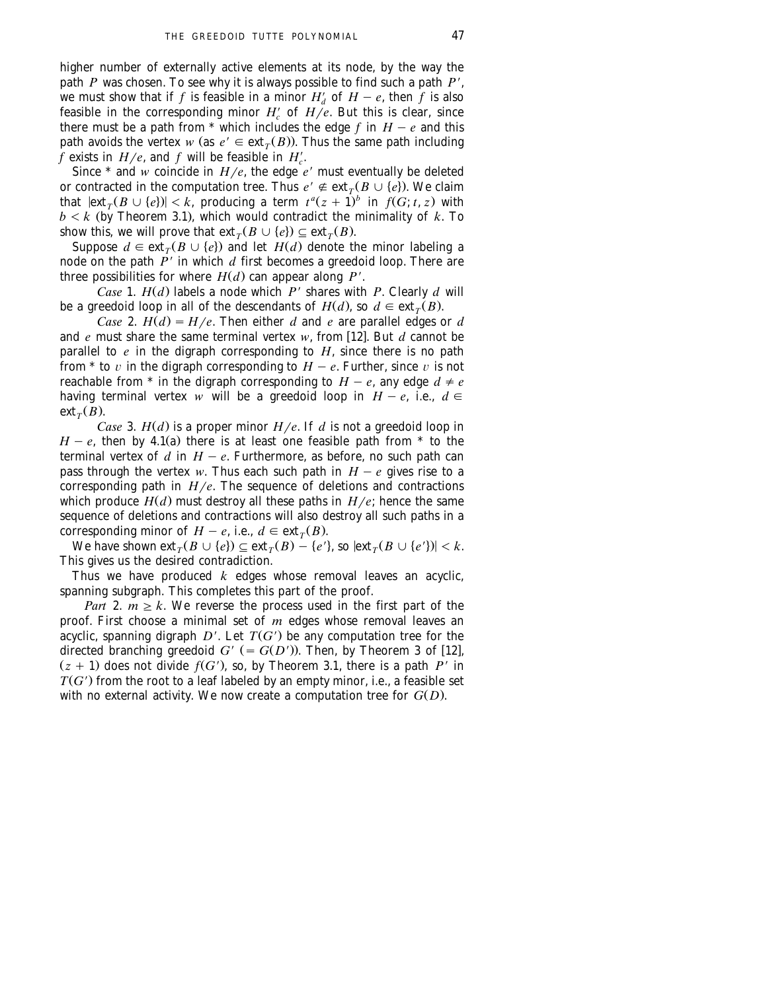higher number of externally active elements at its node, by the way the path *P* was chosen. To see why it is always possible to find such a path *P'*, we must show that if *f* is feasible in a minor  $H'_d$  of  $H - e$ , then *f* is also feasible in the corresponding minor  $H_c'$  of  $H/e$ . But this is clear, since there must be a path from  $*$  which includes the edge  $f$  in  $H - e$  and this path avoids the vertex *w* (as  $e' \in \text{ext}_{T}(B)$ ). Thus the same path including *f* exists in  $H/e$ , and *f* will be feasible in  $H_c'$ .

Since  $*$  and *w* coincide in  $H/e$ , the edge  $e'$  must eventually be deleted or contracted in the computation tree. Thus  $e' \notin \text{ext}_{T}(B \cup \{e\})$ . We claim that  $|\text{ext}_{T}(B \cup \{e\})| < k$ , producing a term  $t^{a}(z + 1)^{b}$  in  $f(G; t, z)$  with  $b < k$  (by Theorem 3.1), which would contradict the minimality of  $k$ . To show this, we will prove that  $ext{ext}_{T}(B \cup \{e\}) \subseteq ext_{T}(B)$ .

Suppose  $d \in \text{ext}_{T}(B \cup \{e\})$  and let  $H(d)$  denote the minor labeling a node on the path *P*9 in which *d* first becomes a greedoid loop. There are three possibilities for where  $H(d)$  can appear along  $P'$ .

*Case* 1.  $H(d)$  labels a node which  $P'$  shares with  $P$ . Clearly  $d$  will be a greedoid loop in all of the descendants of  $H(d)$ , so  $d \in \text{ext}_{T}(B)$ .

*Case* 2.  $H(d) = H/e$ . Then either *d* and *e* are parallel edges or *d* and *e* must share the same terminal vertex *w*, from [12]. But *d* cannot be parallel to *e* in the digraph corresponding to *H*, since there is no path from \* to v in the digraph corresponding to  $H - e$ . Further, since v is not reachable from  $*$  in the digraph corresponding to  $H - e$ , any edge  $d \neq e$ having terminal vertex *w* will be a greedoid loop in  $H - e$ , i.e.,  $d \in$  $ext_{T}(B)$ .

*Case* 3.  $H(d)$  is a proper minor  $H/e$ . If *d* is not a greedoid loop in  $H - e$ , then by 4.1(a) there is at least one feasible path from  $*$  to the terminal vertex of  $d$  in  $H - e$ . Furthermore, as before, no such path can pass through the vertex *w*. Thus each such path in  $H - e$  gives rise to a corresponding path in  $H/e$ . The sequence of deletions and contractions which produce  $H(d)$  must destroy all these paths in  $H/e$ ; hence the same sequence of deletions and contractions will also destroy all such paths in a corresponding minor of  $H - e$ , i.e.,  $d \in \text{ext}_{T}(B)$ .

We have shown  $ext_{\tau}(B \cup \{e\}) \subseteq ext_{\tau}(B) - \{e'\}$ , so  $ext_{\tau}(B \cup \{e'\}) < k$ . This gives us the desired contradiction.

Thus we have produced *k* edges whose removal leaves an acyclic, spanning subgraph. This completes this part of the proof.

*Part* 2.  $m \ge k$ . We reverse the process used in the first part of the proof. First choose a minimal set of *m* edges whose removal leaves an acyclic, spanning digraph  $D'$ . Let  $T(G')$  be any computation tree for the directed branching greedoid  $G'$  (=  $G(D')$ ). Then, by Theorem 3 of [12],  $(z + 1)$  does not divide  $f(G')$ , so, by Theorem 3.1, there is a path *P'* in  $T(G')$  from the root to a leaf labeled by an empty minor, i.e., a feasible set with no external activity. We now create a computation tree for  $G(D)$ .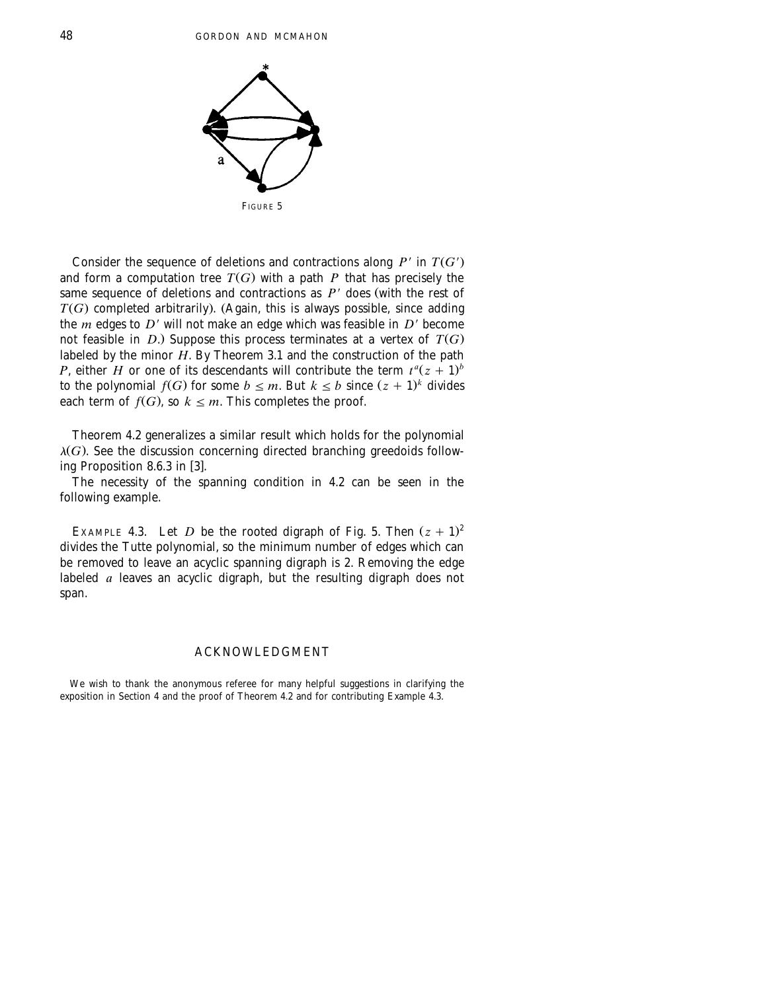

Consider the sequence of deletions and contractions along  $P'$  in  $T(G')$ and form a computation tree  $T(G)$  with a path *P* that has precisely the same sequence of deletions and contractions as  $P'$  does (with the rest of  $T(G)$  completed arbitrarily). (Again, this is always possible, since adding the *m* edges to  $D'$  will not make an edge which was feasible in  $D'$  become not feasible in *D*.) Suppose this process terminates at a vertex of  $T(G)$ labeled by the minor *H*. By Theorem 3.1 and the construction of the path *P*, either *H* or one of its descendants will contribute the term  $t^a(z + 1)^b$ to the polynomial  $f(G)$  for some  $b \leq m$ . But  $k \leq b$  since  $(z + 1)^k$  divides each term of  $f(G)$ , so  $k \leq m$ . This completes the proof.

Theorem 4.2 generalizes a similar result which holds for the polynomial  $\lambda(G)$ . See the discussion concerning directed branching greedoids following Proposition  $8.6.3$  in [3].

The necessity of the spanning condition in 4.2 can be seen in the following example.

EXAMPLE 4.3. Let *D* be the rooted digraph of Fig. 5. Then  $(z + 1)^2$ divides the Tutte polynomial, so the minimum number of edges which can be removed to leave an acyclic spanning digraph is 2. Removing the edge labeled *a* leaves an acyclic digraph, but the resulting digraph does not span.

### ACKNOWLEDGMENT

We wish to thank the anonymous referee for many helpful suggestions in clarifying the exposition in Section 4 and the proof of Theorem 4.2 and for contributing Example 4.3.